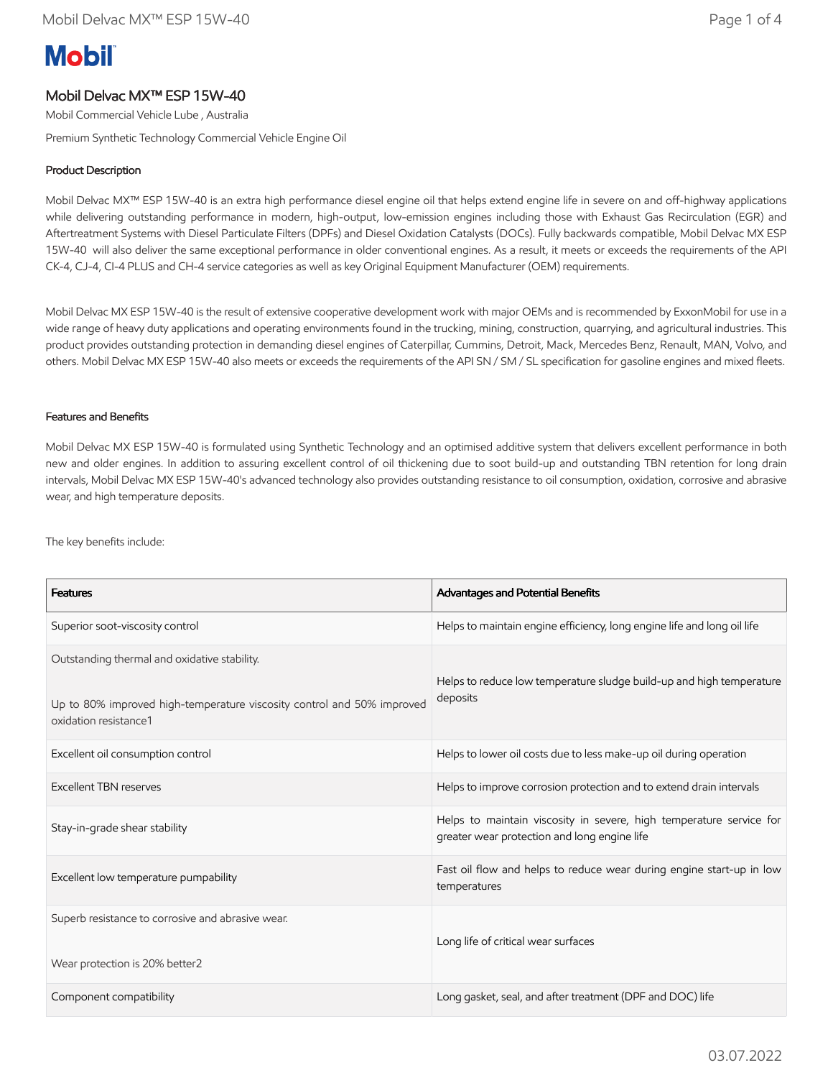# **Mobil**

## Mobil Delvac MX™ ESP 15W-40

Mobil Commercial Vehicle Lube , Australia

Premium Synthetic Technology Commercial Vehicle Engine Oil

### Product Description

Mobil Delvac MX™ ESP 15W-40 is an extra high performance diesel engine oil that helps extend engine life in severe on and off-highway applications while delivering outstanding performance in modern, high-output, low-emission engines including those with Exhaust Gas Recirculation (EGR) and Aftertreatment Systems with Diesel Particulate Filters (DPFs) and Diesel Oxidation Catalysts (DOCs). Fully backwards compatible, Mobil Delvac MX ESP 15W-40 will also deliver the same exceptional performance in older conventional engines. As a result, it meets or exceeds the requirements of the API CK-4, CJ-4, CI-4 PLUS and CH-4 service categories as well as key Original Equipment Manufacturer (OEM) requirements.

Mobil Delvac MX ESP 15W-40 is the result of extensive cooperative development work with major OEMs and is recommended by ExxonMobil for use in a wide range of heavy duty applications and operating environments found in the trucking, mining, construction, quarrying, and agricultural industries. This product provides outstanding protection in demanding diesel engines of Caterpillar, Cummins, Detroit, Mack, Mercedes Benz, Renault, MAN, Volvo, and others. Mobil Delvac MX ESP 15W-40 also meets or exceeds the requirements of the API SN / SM / SL specification for gasoline engines and mixed fleets.

#### Features and Benefits

Mobil Delvac MX ESP 15W-40 is formulated using Synthetic Technology and an optimised additive system that delivers excellent performance in both new and older engines. In addition to assuring excellent control of oil thickening due to soot build-up and outstanding TBN retention for long drain intervals, Mobil Delvac MX ESP 15W-40's advanced technology also provides outstanding resistance to oil consumption, oxidation, corrosive and abrasive wear, and high temperature deposits.

The key benefits include:

| <b>Features</b>                                                                                                                                 | Advantages and Potential Benefits                                                                                   |  |
|-------------------------------------------------------------------------------------------------------------------------------------------------|---------------------------------------------------------------------------------------------------------------------|--|
| Superior soot-viscosity control                                                                                                                 | Helps to maintain engine efficiency, long engine life and long oil life                                             |  |
| Outstanding thermal and oxidative stability.<br>Up to 80% improved high-temperature viscosity control and 50% improved<br>oxidation resistance1 | Helps to reduce low temperature sludge build-up and high temperature<br>deposits                                    |  |
| Excellent oil consumption control                                                                                                               | Helps to lower oil costs due to less make-up oil during operation                                                   |  |
| Excellent TBN reserves                                                                                                                          | Helps to improve corrosion protection and to extend drain intervals                                                 |  |
| Stay-in-grade shear stability                                                                                                                   | Helps to maintain viscosity in severe, high temperature service for<br>greater wear protection and long engine life |  |
| Excellent low temperature pumpability                                                                                                           | Fast oil flow and helps to reduce wear during engine start-up in low<br>temperatures                                |  |
| Superb resistance to corrosive and abrasive wear.<br>Wear protection is 20% better2                                                             | Long life of critical wear surfaces                                                                                 |  |
| Component compatibility                                                                                                                         | Long gasket, seal, and after treatment (DPF and DOC) life                                                           |  |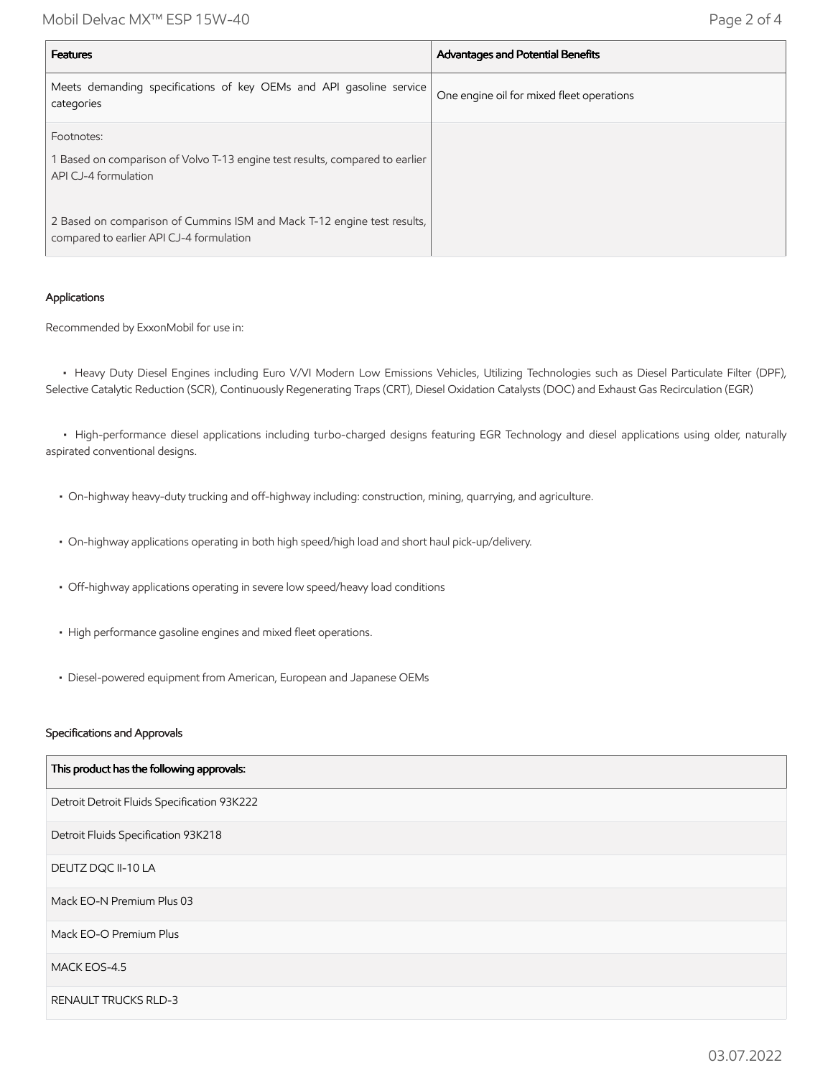Mobil Delvac MX™ ESP 15W-40 Page 2 of 4

| <b>Features</b>                                                                                                     | Advantages and Potential Benefits         |
|---------------------------------------------------------------------------------------------------------------------|-------------------------------------------|
| Meets demanding specifications of key OEMs and API gasoline service<br>categories                                   | One engine oil for mixed fleet operations |
| Footnotes:<br>Based on comparison of Volvo T-13 engine test results, compared to earlier<br>API CJ-4 formulation    |                                           |
| 2 Based on comparison of Cummins ISM and Mack T-12 engine test results,<br>compared to earlier API CJ-4 formulation |                                           |

#### Applications

Recommended by ExxonMobil for use in:

 • Heavy Duty Diesel Engines including Euro V/VI Modern Low Emissions Vehicles, Utilizing Technologies such as Diesel Particulate Filter (DPF), Selective Catalytic Reduction (SCR), Continuously Regenerating Traps (CRT), Diesel Oxidation Catalysts (DOC) and Exhaust Gas Recirculation (EGR)

 • High-performance diesel applications including turbo-charged designs featuring EGR Technology and diesel applications using older, naturally aspirated conventional designs.

- On-highway heavy-duty trucking and off-highway including: construction, mining, quarrying, and agriculture.
- On-highway applications operating in both high speed/high load and short haul pick-up/delivery.
- Off-highway applications operating in severe low speed/heavy load conditions
- High performance gasoline engines and mixed fleet operations.
- Diesel-powered equipment from American, European and Japanese OEMs

#### Specifications and Approvals

| This product has the following approvals:   |
|---------------------------------------------|
| Detroit Detroit Fluids Specification 93K222 |
| Detroit Fluids Specification 93K218         |
| DEUTZ DQC II-10 LA                          |
| Mack EO-N Premium Plus 03                   |
| Mack EO-O Premium Plus                      |
| MACK EOS-4.5                                |
| <b>RENAULT TRUCKS RLD-3</b>                 |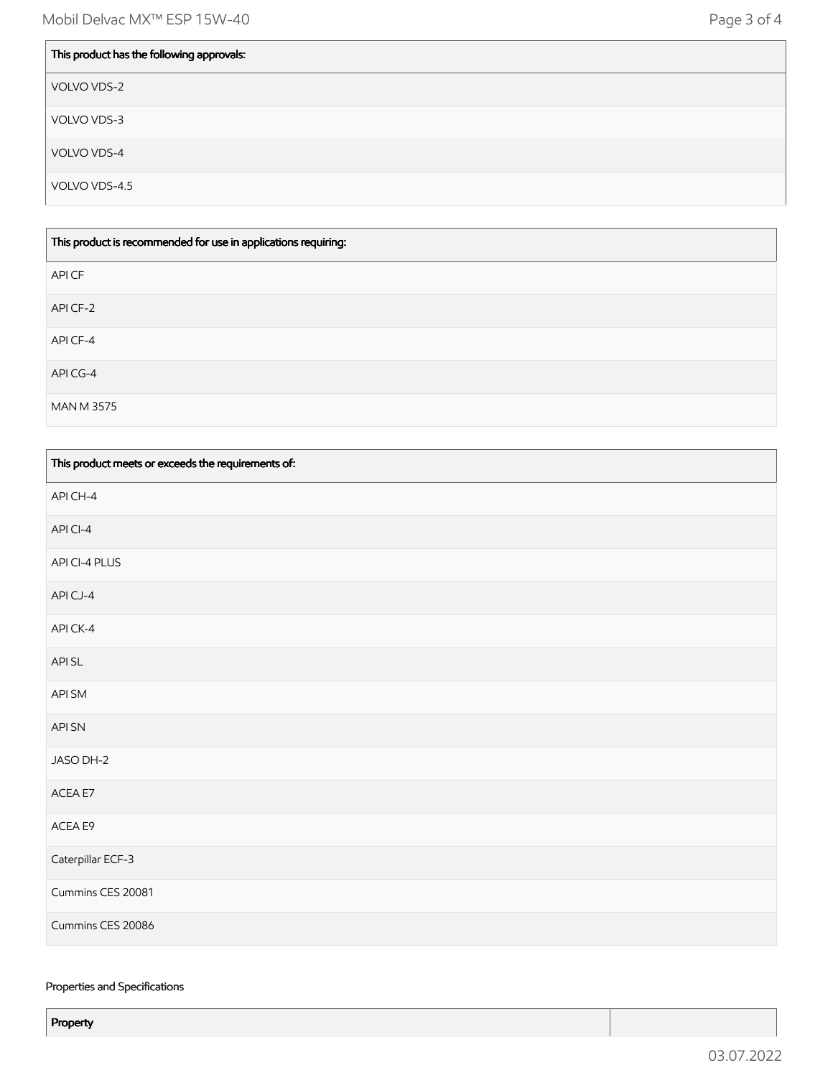| This product has the following approvals: |
|-------------------------------------------|
| VOLVO VDS-2                               |
| VOLVO VDS-3                               |
| VOLVO VDS-4                               |
| VOLVO VDS-4.5                             |

| This product is recommended for use in applications requiring: |
|----------------------------------------------------------------|
| API CF                                                         |
| API CF-2                                                       |
| API CF-4                                                       |
| API CG-4                                                       |
| MAN M 3575                                                     |

| This product meets or exceeds the requirements of: |
|----------------------------------------------------|
| API CH-4                                           |
| API CI-4                                           |
| API CI-4 PLUS                                      |
| APICJ-4                                            |
| APICK-4                                            |
| API SL                                             |
| API SM                                             |
| API SN                                             |
| JASO DH-2                                          |
| ACEA E7                                            |
| ACEA E9                                            |
| Caterpillar ECF-3                                  |
| Cummins CES 20081                                  |
| Cummins CES 20086                                  |

#### Properties and Specifications

Property